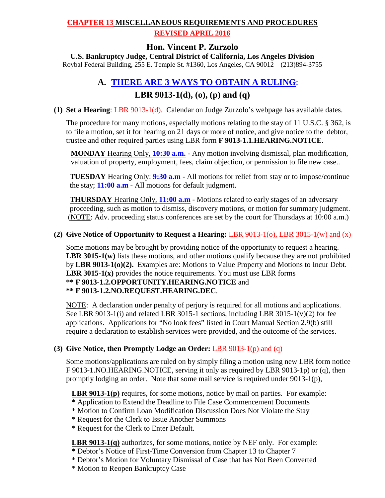### **CHAPTER 13 MISCELLANEOUS REQUIREMENTS AND PROCEDURES**

### **REVISED APRIL 2016**

## **Hon. Vincent P. Zurzolo**

**U.S. Bankruptcy Judge, Central District of California, Los Angeles Division**

Roybal Federal Building, 255 E. Temple St. #1360, Los Angeles, CA 90012 (213)894-3755

# **A. THERE ARE 3 WAYS TO OBTAIN A RULING**:

**LBR 9013-1(d), (o), (p) and (q)**<br>(1) **Set a Hearing**: LBR 9013-1(d). Calendar on Judge Zurzolo's webpage has available dates.

The procedure for many motions, especially motions relating to the stay of 11 U.S.C. § 362, is to file a motion, set it for hearing on 21 days or more of notice, and give notice to the debtor, trustee and other required parties using LBR form **F 9013-1.1.HEARING.NOTICE**.

 **MONDAY** Hearing Only, **10:30 a.m.** - Any motion involving dismissal, plan modification, valuation of property, employment, fees, claim objection, or permission to file new case..

 **TUESDAY** Hearing Only: **9:30 a.m** - All motions for relief from stay or to impose/continue the stay; **11:00 a.m** - All motions for default judgment.

 **THURSDAY** Hearing Only, **11:00 a.m** - Motions related to early stages of an adversary proceeding, such as motion to dismiss, discovery motions, or motion for summary judgment. (NOTE: Adv. proceeding status conferences are set by the court for Thursdays at 10:00 a.m.)

### **(2) Give Notice of Opportunity to Request a Hearing:** LBR 9013-1(o), LBR 3015-1(w) and (x)

Some motions may be brought by providing notice of the opportunity to request a hearing. LBR 3015-1(w) lists these motions, and other motions qualify because they are not prohibited by **LBR 9013-1(o)(2).** Examples are: Motions to Value Property and Motions to Incur Debt. **LBR 3015-1(x)** provides the notice requirements. You must use LBR forms **\*\* F 9013-1.2.OPPORTUNITY.HEARING.NOTICE** and **\*\* F 9013-1.2.NO.REQUEST.HEARING.DEC**.

NOTE: A declaration under penalty of perjury is required for all motions and applications. See LBR 9013-1(i) and related LBR 3015-1 sections, including LBR 3015-1(v)(2) for fee applications. Applications for "No look fees" listed in Court Manual Section 2.9(b) still require a declaration to establish services were provided, and the outcome of the services.

### **(3) Give Notice, then Promptly Lodge an Order:** LBR 9013-1(p) and (q)

Some motions/applications are ruled on by simply filing a motion using new LBR form notice F 9013-1.NO.HEARING.NOTICE, serving it only as required by LBR 9013-1p) or (q), then promptly lodging an order. Note that some mail service is required under  $9013-1(p)$ ,

**LBR 9013-1(p)** requires, for some motions, notice by mail on parties. For example:

- **\*** Application to Extend the Deadline to File Case Commencement Documents
- \* Motion to Confirm Loan Modification Discussion Does Not Violate the Stay
- \* Request for the Clerk to Issue Another Summons
- \* Request for the Clerk to Enter Default.

### **LBR 9013-1(q)** authorizes, for some motions, notice by NEF only. For example:

- **\*** Debtor's Notice of First-Time Conversion from Chapter 13 to Chapter 7
- \* Debtor's Motion for Voluntary Dismissal of Case that has Not Been Converted
- \* Motion to Reopen Bankruptcy Case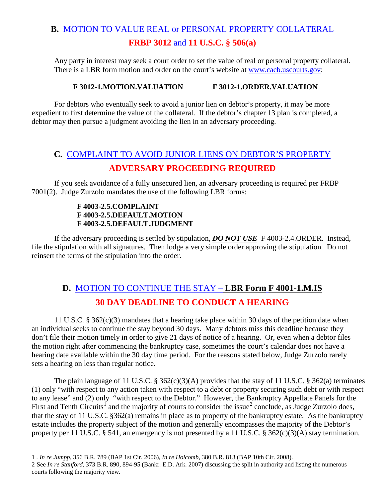# **B.** MOTION TO VALUE REAL or PERSONAL PROPERTY COLLATERAL **FRBP 3012** and **11 U.S.C. § 506(a)**

Any party in interest may seek a court order to set the value of real or personal property collateral. There is a LBR form motion and order on the court's website at [www.cacb.uscourts.gov:](http://www.cacb.uscourts.gov/)

#### **F 3012-1.MOTION.VALUATION F 3012-1.ORDER.VALUATION**

For debtors who eventually seek to avoid a junior lien on debtor's property, it may be more expedient to first determine the value of the collateral. If the debtor's chapter 13 plan is completed, a debtor may then pursue a judgment avoiding the lien in an adversary proceeding.

# **C.** COMPLAINT TO AVOID JUNIOR LIENS ON DEBTOR'S PROPERTY **ADVERSARY PROCEEDING REQUIRED**

 If you seek avoidance of a fully unsecured lien, an adversary proceeding is required per FRBP 7001(2). Judge Zurzolo mandates the use of the following LBR forms:

#### **F 4003-2.5.COMPLAINT F 4003-2.5.DEFAULT.MOTION F 4003-2.5.DEFAULT.JUDGMENT**

If the adversary proceeding is settled by stipulation, *DO NOT USE* F 4003-2.4.ORDER. Instead, file the stipulation with all signatures. Then lodge a very simple order approving the stipulation. Do not reinsert the terms of the stipulation into the order.

# **D.** MOTION TO CONTINUE THE STAY – **LBR Form F 4001-1.M.IS 30 DAY DEADLINE TO CONDUCT A HEARING**

11 U.S.C. § 362(c)(3) mandates that a hearing take place within 30 days of the petition date when an individual seeks to continue the stay beyond 30 days. Many debtors miss this deadline because they don't file their motion timely in order to give 21 days of notice of a hearing. Or, even when a debtor files the motion right after commencing the bankruptcy case, sometimes the court's calendar does not have a hearing date available within the 30 day time period. For the reasons stated below, Judge Zurzolo rarely sets a hearing on less than regular notice.

The plain language of 11 U.S.C. § 362(c)(3)(A) provides that the stay of 11 U.S.C. § 362(a) terminates (1) only "with respect to any action taken with respect to a debt or property securing such debt or with respect to any lease" and (2) only "with respect to the Debtor." However, the Bankruptcy Appellate Panels for the First and Tenth Circuits<sup>[1](#page-1-0)</sup> and the majority of courts to consider the issue<sup>[2](#page-1-1)</sup> conclude, as Judge Zurzolo does, that the stay of 11 U.S.C. §362(a) remains in place as to property of the bankruptcy estate. As the bankruptcy estate includes the property subject of the motion and generally encompasses the majority of the Debtor's property per 11 U.S.C. § 541, an emergency is not presented by a 11 U.S.C. § 362(c)(3)(A) stay termination.

 $\overline{a}$ 1 *. In re Jumpp,* 356 B.R. 789 (BAP 1st Cir. 2006), *In re Holcomb,* 380 B.R. 813 (BAP 10th Cir. 2008).

<span id="page-1-1"></span><span id="page-1-0"></span><sup>2</sup> See *In re Stanford,* 373 B.R. 890, 894-95 (Bankr. E.D. Ark. 2007) discussing the split in authority and listing the numerous courts following the majority view.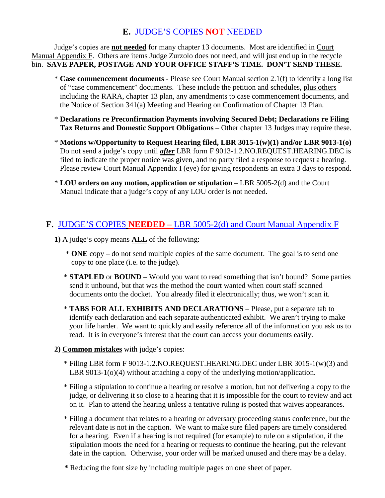# **E.** JUDGE'S COPIES **NOT** NEEDED

Judge's copies are **not needed** for many chapter 13 documents. Most are identified in Court Manual Appendix F. Others are items Judge Zurzolo does not need, and will just end up in the recycle bin. **SAVE PAPER, POSTAGE AND YOUR OFFICE STAFF'S TIME. DON'T SEND THESE.**

- \* **Case commencement documents** Please see Court Manual section 2.1(f) to identify a long list of "case commencement" documents. These include the petition and schedules, plus others including the RARA, chapter 13 plan, any amendments to case commencement documents, and the Notice of Section 341(a) Meeting and Hearing on Confirmation of Chapter 13 Plan.
- \* **Declarations re Preconfirmation Payments involving Secured Debt; Declarations re Filing Tax Returns and Domestic Support Obligations** – Other chapter 13 Judges may require these.
- \* **Motions w/Opportunity to Request Hearing filed, LBR 3015-1(w)(1) and/or LBR 9013-1(o)** Do not send a judge's copy until *after* LBR form F 9013-1.2.NO.REQUEST.HEARING.DEC is filed to indicate the proper notice was given, and no party filed a response to request a hearing. Please review Court Manual Appendix I (eye) for giving respondents an extra 3 days to respond.
- \* **LOU orders on any motion, application or stipulation**  LBR 5005-2(d) and the Court Manual indicate that a judge's copy of any LOU order is not needed.

# **F.** JUDGE'S COPIES **NEEDED –** LBR 5005-2(d) and Court Manual Appendix F

- **1)** A judge's copy means **ALL** of the following:
	- \* **ONE** copy do not send multiple copies of the same document. The goal is to send one copy to one place (i.e. to the judge).
	- \* **STAPLED** or **BOUND** Would you want to read something that isn't bound? Some parties send it unbound, but that was the method the court wanted when court staff scanned documents onto the docket. You already filed it electronically; thus, we won't scan it.
	- \* **TABS FOR ALL EXHIBITS AND DECLARATIONS** Please, put a separate tab to identify each declaration and each separate authenticated exhibit. We aren't trying to make your life harder. We want to quickly and easily reference all of the information you ask us to read. It is in everyone's interest that the court can access your documents easily.
- **2) Common mistakes** with judge's copies:
	- \* Filing LBR form F 9013-1.2.NO.REQUEST.HEARING.DEC under LBR 3015-1(w)(3) and LBR 9013-1(o)(4) without attaching a copy of the underlying motion/application.
	- \* Filing a stipulation to continue a hearing or resolve a motion, but not delivering a copy to the judge, or delivering it so close to a hearing that it is impossible for the court to review and act on it. Plan to attend the hearing unless a tentative ruling is posted that waives appearances.
	- \* Filing a document that relates to a hearing or adversary proceeding status conference, but the relevant date is not in the caption. We want to make sure filed papers are timely considered for a hearing. Even if a hearing is not required (for example) to rule on a stipulation, if the stipulation moots the need for a hearing or requests to continue the hearing, put the relevant date in the caption. Otherwise, your order will be marked unused and there may be a delay.
	- **\*** Reducing the font size by including multiple pages on one sheet of paper.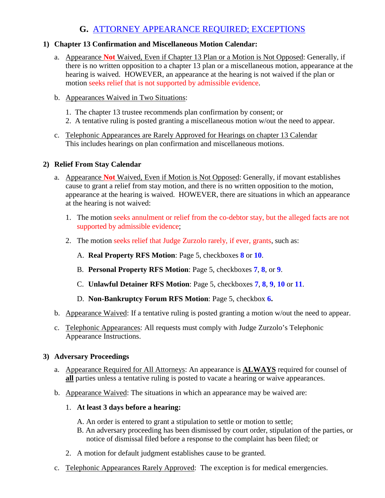# **G.** ATTORNEY APPEARANCE REQUIRED; EXCEPTIONS

### **1) Chapter 13 Confirmation and Miscellaneous Motion Calendar:**

- a. Appearance **Not** Waived, Even if Chapter 13 Plan or a Motion is Not Opposed: Generally, if there is no written opposition to a chapter 13 plan or a miscellaneous motion, appearance at the hearing is waived. HOWEVER, an appearance at the hearing is not waived if the plan or motion seeks relief that is not supported by admissible evidence.
- b. Appearances Waived in Two Situations:
	- 1. The chapter 13 trustee recommends plan confirmation by consent; or
	- 2. A tentative ruling is posted granting a miscellaneous motion w/out the need to appear.
- c. Telephonic Appearances are Rarely Approved for Hearings on chapter 13 Calendar This includes hearings on plan confirmation and miscellaneous motions.

### **2) Relief From Stay Calendar**

- a. Appearance **Not** Waived, Even if Motion is Not Opposed: Generally, if movant establishes cause to grant a relief from stay motion, and there is no written opposition to the motion, appearance at the hearing is waived. HOWEVER, there are situations in which an appearance at the hearing is not waived:
	- 1. The motion seeks annulment or relief from the co-debtor stay, but the alleged facts are not supported by admissible evidence;
	- 2. The motion seeks relief that Judge Zurzolo rarely, if ever, grants, such as:
		- A. **Real Property RFS Motion**: Page 5, checkboxes **8** or **10**.
		- B. **Personal Property RFS Motion**: Page 5, checkboxes **7**, **8**, or **9**.
		- C. **Unlawful Detainer RFS Motion**: Page 5, checkboxes **7**, **8**, **9**, **10** or **11**.
		- D. **Non-Bankruptcy Forum RFS Motion**: Page 5, checkbox **6.**
- b. Appearance Waived: If a tentative ruling is posted granting a motion w/out the need to appear.
- c. Telephonic Appearances: All requests must comply with Judge Zurzolo's Telephonic Appearance Instructions.

### **3) Adversary Proceedings**

- a. Appearance Required for All Attorneys: An appearance is **ALWAYS** required for counsel of **all** parties unless a tentative ruling is posted to vacate a hearing or waive appearances.
- b. Appearance Waived: The situations in which an appearance may be waived are:

### 1. **At least 3 days before a hearing:**

- A. An order is entered to grant a stipulation to settle or motion to settle;
- B. An adversary proceeding has been dismissed by court order, stipulation of the parties, or notice of dismissal filed before a response to the complaint has been filed; or
- 2. A motion for default judgment establishes cause to be granted.
- c. Telephonic Appearances Rarely Approved: The exception is for medical emergencies.